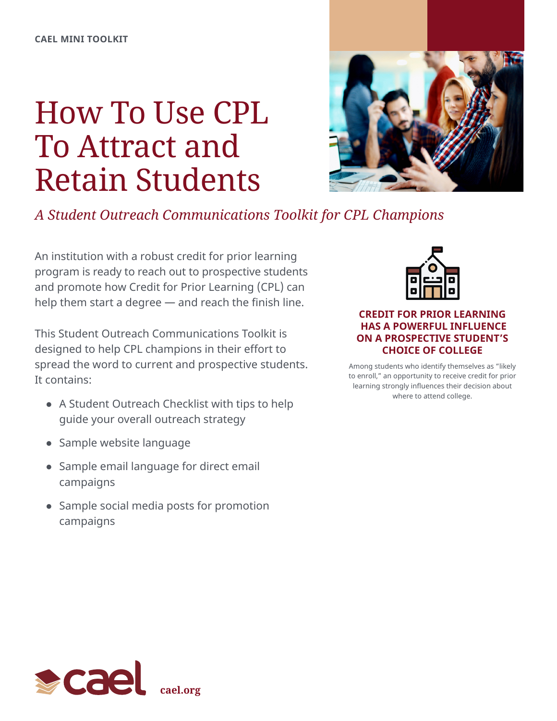# How To Use CPL To Attract and Retain Students



*A Student Outreach Communications Toolkit for CPL Champions*

An institution with a robust credit for prior learning program is ready to reach out to prospective students and promote how Credit for Prior Learning (CPL) can help them start a degree — and reach the finish line.

This Student Outreach Communications Toolkit is designed to help CPL champions in their effort to spread the word to current and prospective students. It contains:

- A Student Outreach Checklist with tips to help guide your overall outreach strategy
- Sample website language
- Sample email language for direct email campaigns
- Sample social media posts for promotion campaigns



# **CREDIT FOR PRIOR LEARNING HAS A POWERFUL INFLUENCE ON A PROSPECTIVE STUDENT'S CHOICE OF COLLEGE**

Among students who identify themselves as "likely to enroll," an opportunity to receive credit for prior learning strongly influences their decision about where to attend college.

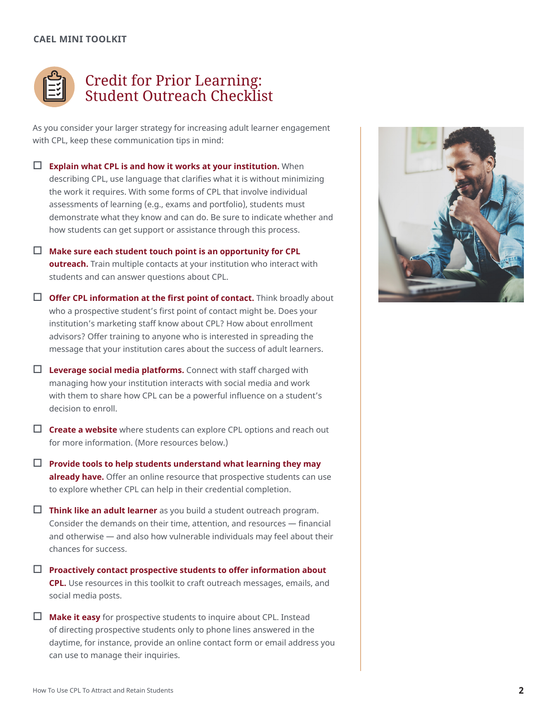#### **CAEL MINI TOOLKIT**



# Credit for Prior Learning: Student Outreach Checklist

As you consider your larger strategy for increasing adult learner engagement with CPL, keep these communication tips in mind:

- **Explain what CPL is and how it works at your institution.** When describing CPL, use language that clarifies what it is without minimizing the work it requires. With some forms of CPL that involve individual assessments of learning (e.g., exams and portfolio), students must demonstrate what they know and can do. Be sure to indicate whether and how students can get support or assistance through this process.
- $\Box$  Make sure each student touch point is an opportunity for CPL **outreach.** Train multiple contacts at your institution who interact with students and can answer questions about CPL.
- $\Box$  Offer CPL information at the first point of contact. Think broadly about who a prospective student's first point of contact might be. Does your institution's marketing staff know about CPL? How about enrollment advisors? Offer training to anyone who is interested in spreading the message that your institution cares about the success of adult learners.
- $\Box$  **Leverage social media platforms.** Connect with staff charged with managing how your institution interacts with social media and work with them to share how CPL can be a powerful influence on a student's decision to enroll.
- $\Box$  **Create a website** where students can explore CPL options and reach out for more information. (More resources below.)
- $\Box$  Provide tools to help students understand what learning they may **already have.** Offer an online resource that prospective students can use to explore whether CPL can help in their credential completion.
- $\Box$  **Think like an adult learner** as you build a student outreach program. Consider the demands on their time, attention, and resources — financial and otherwise — and also how vulnerable individuals may feel about their chances for success.
- $\Box$  Proactively contact prospective students to offer information about **CPL.** Use resources in this toolkit to craft outreach messages, emails, and social media posts.
- $\Box$  **Make it easy** for prospective students to inquire about CPL. Instead of directing prospective students only to phone lines answered in the daytime, for instance, provide an online contact form or email address you can use to manage their inquiries.

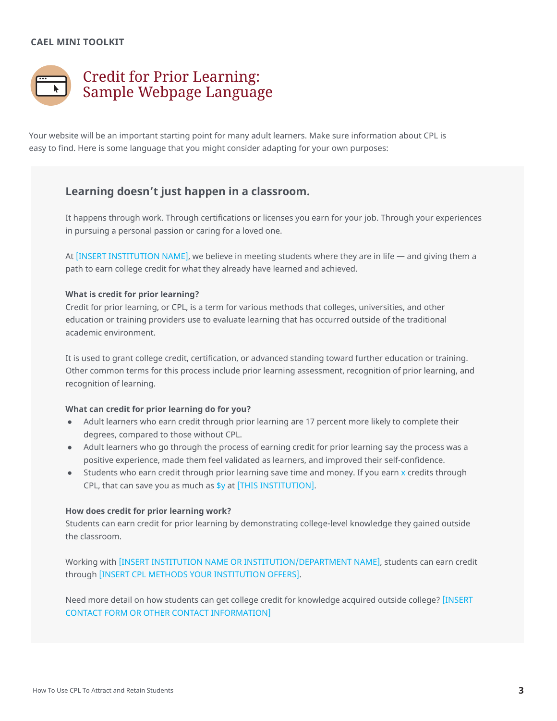# **CAEL MINI TOOLKIT**



Your website will be an important starting point for many adult learners. Make sure information about CPL is easy to find. Here is some language that you might consider adapting for your own purposes:

# **Learning doesn't just happen in a classroom.**

It happens through work. Through certifications or licenses you earn for your job. Through your experiences in pursuing a personal passion or caring for a loved one.

At [INSERT INSTITUTION NAME], we believe in meeting students where they are in life — and giving them a path to earn college credit for what they already have learned and achieved.

#### **What is credit for prior learning?**

Credit for prior learning, or CPL, is a term for various methods that colleges, universities, and other education or training providers use to evaluate learning that has occurred outside of the traditional academic environment.

It is used to grant college credit, certification, or advanced standing toward further education or training. Other common terms for this process include prior learning assessment, recognition of prior learning, and recognition of learning.

#### **What can credit for prior learning do for you?**

- Adult learners who earn credit through prior learning are 17 percent more likely to complete their degrees, compared to those without CPL.
- Adult learners who go through the process of earning credit for prior learning say the process was a positive experience, made them feel validated as learners, and improved their self-confidence.
- Students who earn credit through prior learning save time and money. If you earn x credits through CPL, that can save you as much as \$y at [THIS INSTITUTION].

#### **How does credit for prior learning work?**

Students can earn credit for prior learning by demonstrating college-level knowledge they gained outside the classroom.

Working with [INSERT INSTITUTION NAME OR INSTITUTION/DEPARTMENT NAME], students can earn credit through [INSERT CPL METHODS YOUR INSTITUTION OFFERS].

Need more detail on how students can get college credit for knowledge acquired outside college? [INSERT CONTACT FORM OR OTHER CONTACT INFORMATION]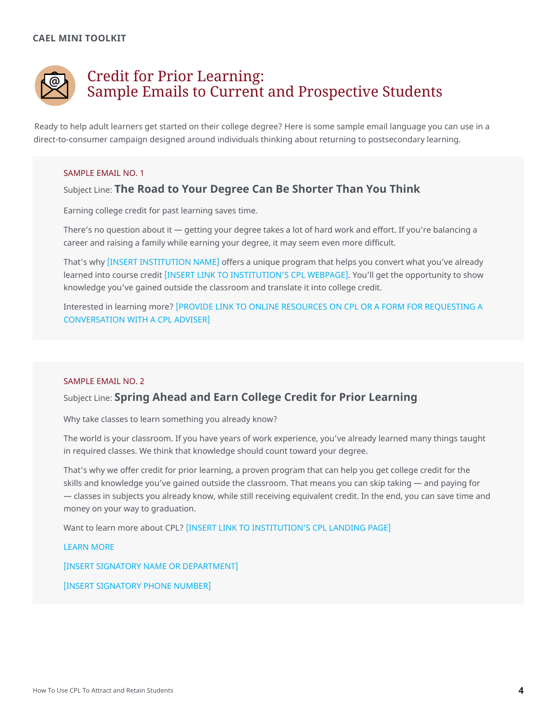

# Credit for Prior Learning: Sample Emails to Current and Prospective Students

Ready to help adult learners get started on their college degree? Here is some sample email language you can use in a direct-to-consumer campaign designed around individuals thinking about returning to postsecondary learning.

#### SAMPLE EMAIL NO. 1

# Subject Line: **The Road to Your Degree Can Be Shorter Than You Think**

Earning college credit for past learning saves time.

There's no question about it — getting your degree takes a lot of hard work and effort. If you're balancing a career and raising a family while earning your degree, it may seem even more difficult.

That's why [INSERT INSTITUTION NAME] offers a unique program that helps you convert what you've already learned into course credit [INSERT LINK TO INSTITUTION'S CPL WEBPAGE]. You'll get the opportunity to show knowledge you've gained outside the classroom and translate it into college credit.

Interested in learning more? [PROVIDE LINK TO ONLINE RESOURCES ON CPL OR A FORM FOR REQUESTING A CONVERSATION WITH A CPL ADVISER]

#### SAMPLE EMAIL NO. 2

# Subject Line: **Spring Ahead and Earn College Credit for Prior Learning**

Why take classes to learn something you already know?

The world is your classroom. If you have years of work experience, you've already learned many things taught in required classes. We think that knowledge should count toward your degree.

That's why we offer credit for prior learning, a proven program that can help you get college credit for the skills and knowledge you've gained outside the classroom. That means you can skip taking — and paying for — classes in subjects you already know, while still receiving equivalent credit. In the end, you can save time and money on your way to graduation.

Want to learn more about CPL? [INSERT LINK TO INSTITUTION'S CPL LANDING PAGE]

LEARN MORE

[INSERT SIGNATORY NAME OR DEPARTMENT]

[INSERT SIGNATORY PHONE NUMBER]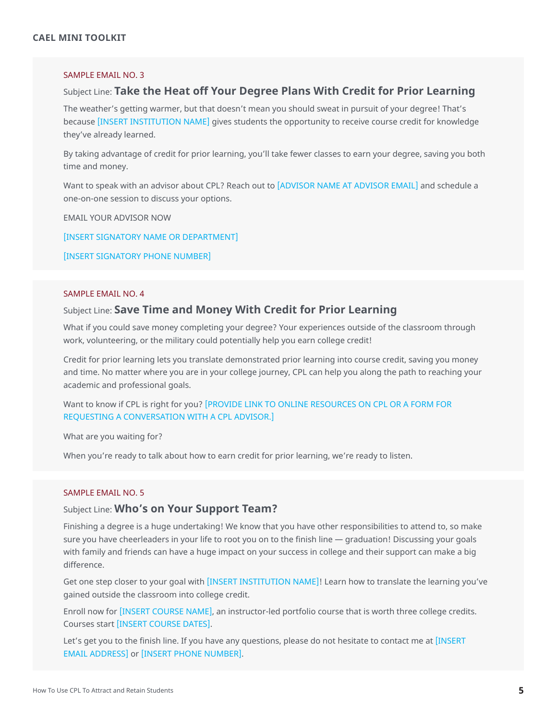## SAMPLE EMAIL NO. 3

## Subject Line: **Take the Heat off Your Degree Plans With Credit for Prior Learning**

The weather's getting warmer, but that doesn't mean you should sweat in pursuit of your degree! That's because [INSERT INSTITUTION NAME] gives students the opportunity to receive course credit for knowledge they've already learned.

By taking advantage of credit for prior learning, you'll take fewer classes to earn your degree, saving you both time and money.

Want to speak with an advisor about CPL? Reach out to [ADVISOR NAME AT ADVISOR EMAIL] and schedule a one-on-one session to discuss your options.

EMAIL YOUR ADVISOR NOW

[INSERT SIGNATORY NAME OR DEPARTMENT]

[INSERT SIGNATORY PHONE NUMBER]

#### SAMPLE EMAIL NO. 4

#### Subject Line: **Save Time and Money With Credit for Prior Learning**

What if you could save money completing your degree? Your experiences outside of the classroom through work, volunteering, or the military could potentially help you earn college credit!

Credit for prior learning lets you translate demonstrated prior learning into course credit, saving you money and time. No matter where you are in your college journey, CPL can help you along the path to reaching your academic and professional goals.

# Want to know if CPL is right for you? [PROVIDE LINK TO ONLINE RESOURCES ON CPL OR A FORM FOR REQUESTING A CONVERSATION WITH A CPL ADVISOR.]

What are you waiting for?

When you're ready to talk about how to earn credit for prior learning, we're ready to listen.

#### SAMPLE EMAIL NO. 5

#### Subject Line: **Who's on Your Support Team?**

Finishing a degree is a huge undertaking! We know that you have other responsibilities to attend to, so make sure you have cheerleaders in your life to root you on to the finish line — graduation! Discussing your goals with family and friends can have a huge impact on your success in college and their support can make a big difference.

Get one step closer to your goal with [INSERT INSTITUTION NAME]! Learn how to translate the learning you've gained outside the classroom into college credit.

Enroll now for [INSERT COURSE NAME], an instructor-led portfolio course that is worth three college credits. Courses start [INSERT COURSE DATES].

Let's get you to the finish line. If you have any questions, please do not hesitate to contact me at [INSERT EMAIL ADDRESS] or [INSERT PHONE NUMBER].